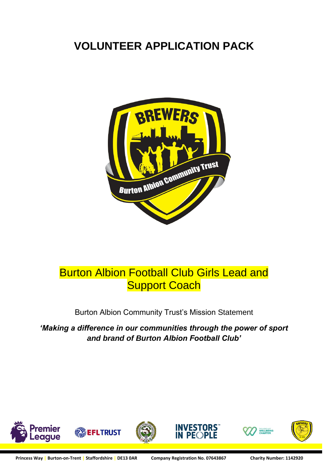# **VOLUNTEER APPLICATION PACK**



# Burton Albion Football Club Girls Lead and **Support Coach**

Burton Albion Community Trust's Mission Statement

*'Making a difference in our communities through the power of sport and brand of Burton Albion Football Club'*









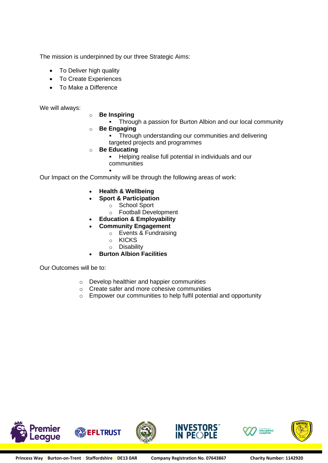The mission is underpinned by our three Strategic Aims:

- To Deliver high quality
- To Create Experiences
- To Make a Difference

We will always:

#### o **Be Inspiring**

- **Through a passion for Burton Albion and our local community**
- o **Be Engaging**
	- **Through understanding our communities and delivering** targeted projects and programmes
- o **Be Educating**
	- Helping realise full potential in individuals and our communities

▪ Our Impact on the Community will be through the following areas of work:

- **Health & Wellbeing**
- **Sport & Participation**
	- o School Sport
	- o Football Development
- **Education & Employability**
- **Community Engagement**
	- o Events & Fundraising
	- o KICKS
	- o Disability
- **Burton Albion Facilities**

Our Outcomes will be to:

- o Develop healthier and happier communities
- o Create safer and more cohesive communities
- o Empower our communities to help fulfil potential and opportunity



**INVESTORS** 

IN PE( )PLE

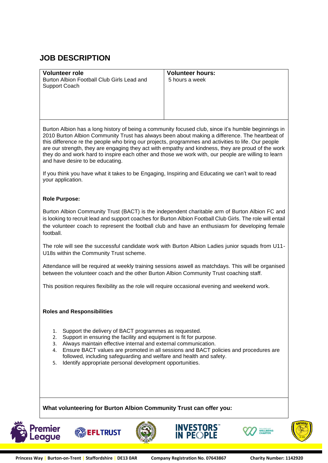## **JOB DESCRIPTION**

| <b>Volunteer role</b>                                                                                                                                              | <b>Volunteer hours:</b>                                                                            |  |  |  |
|--------------------------------------------------------------------------------------------------------------------------------------------------------------------|----------------------------------------------------------------------------------------------------|--|--|--|
| Burton Albion Football Club Girls Lead and<br>Support Coach                                                                                                        | 5 hours a week                                                                                     |  |  |  |
|                                                                                                                                                                    |                                                                                                    |  |  |  |
|                                                                                                                                                                    |                                                                                                    |  |  |  |
|                                                                                                                                                                    |                                                                                                    |  |  |  |
|                                                                                                                                                                    |                                                                                                    |  |  |  |
|                                                                                                                                                                    |                                                                                                    |  |  |  |
| Burton Albion has a long history of being a community focused club, since it's humble beginnings in                                                                |                                                                                                    |  |  |  |
| this difference re the people who bring our projects, programmes and activities to life. Our people                                                                | 2010 Burton Albion Community Trust has always been about making a difference. The heartbeat of     |  |  |  |
|                                                                                                                                                                    | are our strength, they are engaging they act with empathy and kindness, they are proud of the work |  |  |  |
| they do and work hard to inspire each other and those we work with, our people are willing to learn                                                                |                                                                                                    |  |  |  |
| and have desire to be educating.                                                                                                                                   |                                                                                                    |  |  |  |
|                                                                                                                                                                    |                                                                                                    |  |  |  |
| If you think you have what it takes to be Engaging, Inspiring and Educating we can't wait to read<br>your application.                                             |                                                                                                    |  |  |  |
|                                                                                                                                                                    |                                                                                                    |  |  |  |
|                                                                                                                                                                    |                                                                                                    |  |  |  |
| <b>Role Purpose:</b>                                                                                                                                               |                                                                                                    |  |  |  |
| Burton Albion Community Trust (BACT) is the independent charitable arm of Burton Albion FC and                                                                     |                                                                                                    |  |  |  |
| is looking to recruit lead and support coaches for Burton Albion Football Club Girls. The role will entail                                                         |                                                                                                    |  |  |  |
| the volunteer coach to represent the football club and have an enthusiasm for developing female                                                                    |                                                                                                    |  |  |  |
| football.                                                                                                                                                          |                                                                                                    |  |  |  |
|                                                                                                                                                                    |                                                                                                    |  |  |  |
| The role will see the successful candidate work with Burton Albion Ladies junior squads from U11-                                                                  |                                                                                                    |  |  |  |
| U18s within the Community Trust scheme.                                                                                                                            |                                                                                                    |  |  |  |
| Attendance will be required at weekly training sessions aswell as matchdays. This will be organised                                                                |                                                                                                    |  |  |  |
| between the volunteer coach and the other Burton Albion Community Trust coaching staff.                                                                            |                                                                                                    |  |  |  |
|                                                                                                                                                                    |                                                                                                    |  |  |  |
| This position requires flexibility as the role will require occasional evening and weekend work.                                                                   |                                                                                                    |  |  |  |
|                                                                                                                                                                    |                                                                                                    |  |  |  |
|                                                                                                                                                                    |                                                                                                    |  |  |  |
| <b>Roles and Responsibilities</b>                                                                                                                                  |                                                                                                    |  |  |  |
|                                                                                                                                                                    |                                                                                                    |  |  |  |
| Support the delivery of BACT programmes as requested.<br>1.                                                                                                        |                                                                                                    |  |  |  |
| Support in ensuring the facility and equipment is fit for purpose.<br>2.                                                                                           |                                                                                                    |  |  |  |
| Always maintain effective internal and external communication.<br>3.<br>Ensure BACT values are promoted in all sessions and BACT policies and procedures are<br>4. |                                                                                                    |  |  |  |
| followed, including safeguarding and welfare and health and safety.                                                                                                |                                                                                                    |  |  |  |
| Identify appropriate personal development opportunities.<br>5.                                                                                                     |                                                                                                    |  |  |  |
|                                                                                                                                                                    |                                                                                                    |  |  |  |
|                                                                                                                                                                    |                                                                                                    |  |  |  |
|                                                                                                                                                                    |                                                                                                    |  |  |  |

**What volunteering for Burton Albion Community Trust can offer you:**









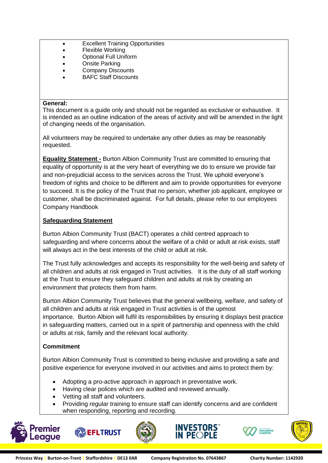- Excellent Training Opportunities
	- Flexible Working
	- Optional Full Uniform
	- **Onsite Parking**
	- Company Discounts
	- BAFC Staff Discounts

#### **General:**

This document is a guide only and should not be regarded as exclusive or exhaustive. It is intended as an outline indication of the areas of activity and will be amended in the light of changing needs of the organisation.

All volunteers may be required to undertake any other duties as may be reasonably requested.

**Equality Statement -** Burton Albion Community Trust are committed to ensuring that equality of opportunity is at the very heart of everything we do to ensure we provide fair and non-prejudicial access to the services across the Trust. We uphold everyone's freedom of rights and choice to be different and aim to provide opportunities for everyone to succeed. It is the policy of the Trust that no person, whether job applicant, employee or customer, shall be discriminated against. For full details, please refer to our employees Company Handbook

### **Safeguarding Statement**

Burton Albion Community Trust (BACT) operates a child centred approach to safeguarding and where concerns about the welfare of a child or adult at risk exists, staff will always act in the best interests of the child or adult at risk.

The Trust fully acknowledges and accepts its responsibility for the well-being and safety of all children and adults at risk engaged in Trust activities. It is the duty of all staff working at the Trust to ensure they safeguard children and adults at risk by creating an environment that protects them from harm.

Burton Albion Community Trust believes that the general wellbeing, welfare, and safety of all children and adults at risk engaged in Trust activities is of the upmost importance. Burton Albion will fulfil its responsibilities by ensuring it displays best practice in safeguarding matters, carried out in a spirit of partnership and openness with the child or adults at risk, family and the relevant local authority.

### **Commitment**

Burton Albion Community Trust is committed to being inclusive and providing a safe and positive experience for everyone involved in our activities and aims to protect them by:

- Adopting a pro-active approach in approach in preventative work.
- Having clear polices which are audited and reviewed annually.
- Vetting all staff and volunteers.
- Providing regular training to ensure staff can identify concerns and are confident when responding, reporting and recording.









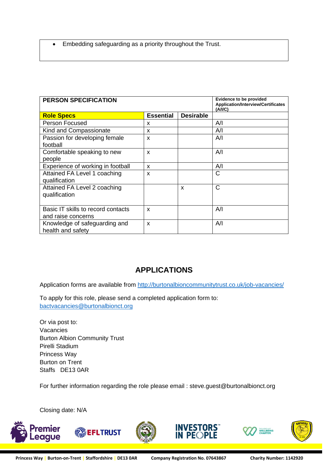• Embedding safeguarding as a priority throughout the Trust.

| <b>PERSON SPECIFICATION</b>                              |                           |                  | <b>Evidence to be provided</b><br><b>Application/Interview/Certificates</b><br>(A/IC) |
|----------------------------------------------------------|---------------------------|------------------|---------------------------------------------------------------------------------------|
| <b>Role Specs</b>                                        | <b>Essential</b>          | <b>Desirable</b> |                                                                                       |
| <b>Person Focused</b>                                    | X                         |                  | A/I                                                                                   |
| Kind and Compassionate                                   | X                         |                  | Α⁄Ι                                                                                   |
| Passion for developing female<br>football                | X                         |                  | A/I                                                                                   |
| Comfortable speaking to new<br>people                    | X                         |                  | A/I                                                                                   |
| Experience of working in football                        | $\boldsymbol{\mathsf{x}}$ |                  | A/I                                                                                   |
| Attained FA Level 1 coaching<br>qualification            | X                         |                  | $\mathsf{C}$                                                                          |
| Attained FA Level 2 coaching<br>qualification            |                           | x                | $\mathsf{C}$                                                                          |
| Basic IT skills to record contacts<br>and raise concerns | X                         |                  | Α⁄Ι                                                                                   |
| Knowledge of safeguarding and<br>health and safety       | X                         |                  | A/I                                                                                   |

## **APPLICATIONS**

Application forms are available from<http://burtonalbioncommunitytrust.co.uk/job-vacancies/>

To apply for this role, please send a completed application form to: [bactvacancies@burtonalbionct.org](mailto:Jobs@cact.org.uk)

Or via post to: Vacancies Burton Albion Community Trust Pirelli Stadium Princess Way Burton on Trent Staffs DE13 0AR

For further information regarding the role please email : steve.guest@burtonalbionct.org

Closing date: N/A